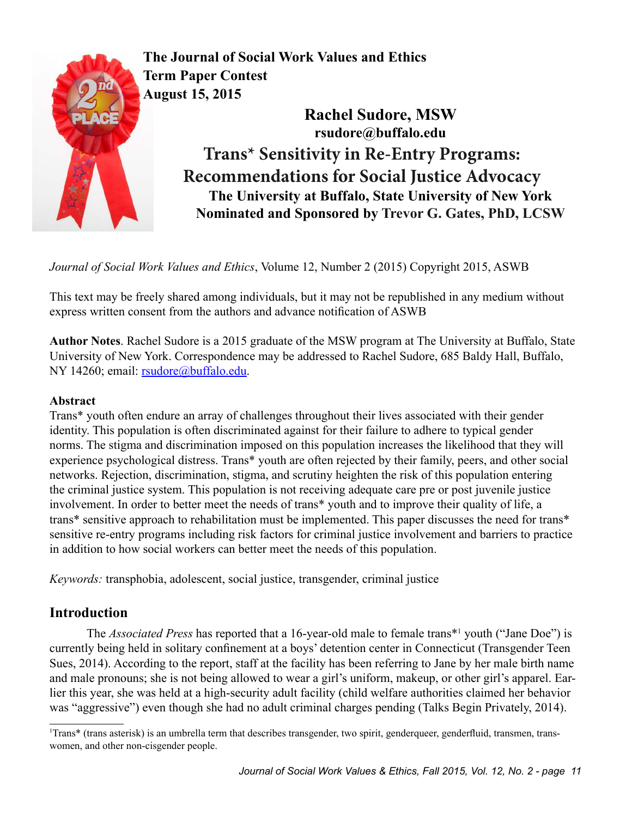

**The Journal of Social Work Values and Ethics Term Paper Contest August 15, 2015**

> **Rachel Sudore, MSW rsudore@buffalo.edu Trans\* Sensitivity in Re-Entry Programs: Recommendations for Social Justice Advocacy The University at Buffalo, State University of New York Nominated and Sponsored by Trevor G. Gates, PhD, LCSW**

*Journal of Social Work Values and Ethics*, Volume 12, Number 2 (2015) Copyright 2015, ASWB

This text may be freely shared among individuals, but it may not be republished in any medium without express written consent from the authors and advance notification of ASWB

**Author Notes**. Rachel Sudore is a 2015 graduate of the MSW program at The University at Buffalo, State University of New York. Correspondence may be addressed to Rachel Sudore, 685 Baldy Hall, Buffalo, NY 14260; email: [rsudore@buffalo.edu](mailto:rsudore@buffalo.edu).

## **Abstract**

Trans\* youth often endure an array of challenges throughout their lives associated with their gender identity. This population is often discriminated against for their failure to adhere to typical gender norms. The stigma and discrimination imposed on this population increases the likelihood that they will experience psychological distress. Trans\* youth are often rejected by their family, peers, and other social networks. Rejection, discrimination, stigma, and scrutiny heighten the risk of this population entering the criminal justice system. This population is not receiving adequate care pre or post juvenile justice involvement. In order to better meet the needs of trans\* youth and to improve their quality of life, a trans\* sensitive approach to rehabilitation must be implemented. This paper discusses the need for trans\* sensitive re-entry programs including risk factors for criminal justice involvement and barriers to practice in addition to how social workers can better meet the needs of this population.

*Keywords:* transphobia, adolescent, social justice, transgender, criminal justice

# **Introduction**

The *Associated Press* has reported that a 16-year-old male to female trans<sup>\*1</sup> youth ("Jane Doe") is currently being held in solitary confinement at a boys' detention center in Connecticut (Transgender Teen Sues, 2014). According to the report, staff at the facility has been referring to Jane by her male birth name and male pronouns; she is not being allowed to wear a girl's uniform, makeup, or other girl's apparel. Earlier this year, she was held at a high-security adult facility (child welfare authorities claimed her behavior was "aggressive") even though she had no adult criminal charges pending (Talks Begin Privately, 2014).

<sup>1</sup> Trans\* (trans asterisk) is an umbrella term that describes transgender, two spirit, genderqueer, genderfluid, transmen, transwomen, and other non-cisgender people.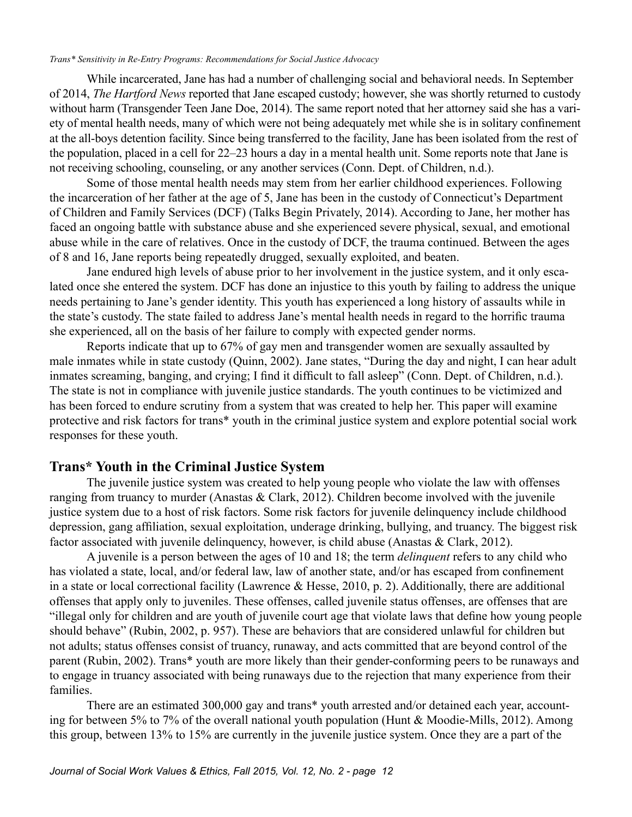#### *Trans\* Sensitivity in Re-Entry Programs: Recommendations for Social Justice Advocacy*

While incarcerated, Jane has had a number of challenging social and behavioral needs. In September of 2014, *The Hartford News* reported that Jane escaped custody; however, she was shortly returned to custody without harm (Transgender Teen Jane Doe, 2014). The same report noted that her attorney said she has a variety of mental health needs, many of which were not being adequately met while she is in solitary confinement at the all-boys detention facility. Since being transferred to the facility, Jane has been isolated from the rest of the population, placed in a cell for 22–23 hours a day in a mental health unit. Some reports note that Jane is not receiving schooling, counseling, or any another services (Conn. Dept. of Children, n.d.).

Some of those mental health needs may stem from her earlier childhood experiences. Following the incarceration of her father at the age of 5, Jane has been in the custody of Connecticut's Department of Children and Family Services (DCF) (Talks Begin Privately, 2014). According to Jane, her mother has faced an ongoing battle with substance abuse and she experienced severe physical, sexual, and emotional abuse while in the care of relatives. Once in the custody of DCF, the trauma continued. Between the ages of 8 and 16, Jane reports being repeatedly drugged, sexually exploited, and beaten.

Jane endured high levels of abuse prior to her involvement in the justice system, and it only escalated once she entered the system. DCF has done an injustice to this youth by failing to address the unique needs pertaining to Jane's gender identity. This youth has experienced a long history of assaults while in the state's custody. The state failed to address Jane's mental health needs in regard to the horrific trauma she experienced, all on the basis of her failure to comply with expected gender norms.

Reports indicate that up to 67% of gay men and transgender women are sexually assaulted by male inmates while in state custody (Quinn, 2002). Jane states, "During the day and night, I can hear adult inmates screaming, banging, and crying; I find it difficult to fall asleep" (Conn. Dept. of Children, n.d.). The state is not in compliance with juvenile justice standards. The youth continues to be victimized and has been forced to endure scrutiny from a system that was created to help her. This paper will examine protective and risk factors for trans\* youth in the criminal justice system and explore potential social work responses for these youth.

## **Trans\* Youth in the Criminal Justice System**

The juvenile justice system was created to help young people who violate the law with offenses ranging from truancy to murder (Anastas & Clark, 2012). Children become involved with the juvenile justice system due to a host of risk factors. Some risk factors for juvenile delinquency include childhood depression, gang affiliation, sexual exploitation, underage drinking, bullying, and truancy. The biggest risk factor associated with juvenile delinquency, however, is child abuse (Anastas & Clark, 2012).

A juvenile is a person between the ages of 10 and 18; the term *delinquent* refers to any child who has violated a state, local, and/or federal law, law of another state, and/or has escaped from confinement in a state or local correctional facility (Lawrence & Hesse, 2010, p. 2). Additionally, there are additional offenses that apply only to juveniles. These offenses, called juvenile status offenses, are offenses that are "illegal only for children and are youth of juvenile court age that violate laws that define how young people should behave" (Rubin, 2002, p. 957). These are behaviors that are considered unlawful for children but not adults; status offenses consist of truancy, runaway, and acts committed that are beyond control of the parent (Rubin, 2002). Trans\* youth are more likely than their gender-conforming peers to be runaways and to engage in truancy associated with being runaways due to the rejection that many experience from their families.

There are an estimated 300,000 gay and trans\* youth arrested and/or detained each year, accounting for between 5% to 7% of the overall national youth population (Hunt & Moodie-Mills, 2012). Among this group, between 13% to 15% are currently in the juvenile justice system. Once they are a part of the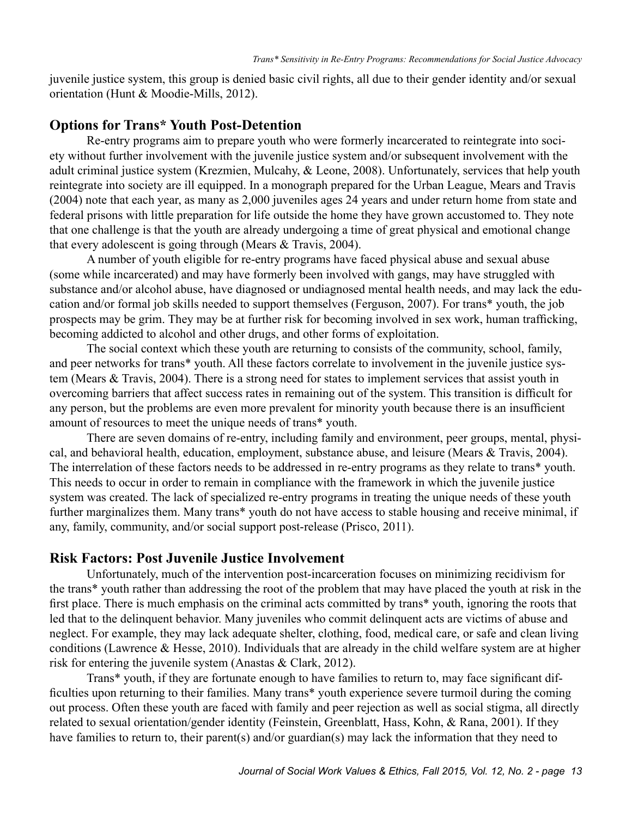juvenile justice system, this group is denied basic civil rights, all due to their gender identity and/or sexual orientation (Hunt & Moodie-Mills, 2012).

### **Options for Trans\* Youth Post-Detention**

Re-entry programs aim to prepare youth who were formerly incarcerated to reintegrate into society without further involvement with the juvenile justice system and/or subsequent involvement with the adult criminal justice system (Krezmien, Mulcahy, & Leone, 2008). Unfortunately, services that help youth reintegrate into society are ill equipped. In a monograph prepared for the Urban League, Mears and Travis (2004) note that each year, as many as 2,000 juveniles ages 24 years and under return home from state and federal prisons with little preparation for life outside the home they have grown accustomed to. They note that one challenge is that the youth are already undergoing a time of great physical and emotional change that every adolescent is going through (Mears & Travis, 2004).

A number of youth eligible for re-entry programs have faced physical abuse and sexual abuse (some while incarcerated) and may have formerly been involved with gangs, may have struggled with substance and/or alcohol abuse, have diagnosed or undiagnosed mental health needs, and may lack the education and/or formal job skills needed to support themselves (Ferguson, 2007). For trans\* youth, the job prospects may be grim. They may be at further risk for becoming involved in sex work, human trafficking, becoming addicted to alcohol and other drugs, and other forms of exploitation.

The social context which these youth are returning to consists of the community, school, family, and peer networks for trans\* youth. All these factors correlate to involvement in the juvenile justice system (Mears & Travis, 2004). There is a strong need for states to implement services that assist youth in overcoming barriers that affect success rates in remaining out of the system. This transition is difficult for any person, but the problems are even more prevalent for minority youth because there is an insufficient amount of resources to meet the unique needs of trans\* youth.

There are seven domains of re-entry, including family and environment, peer groups, mental, physical, and behavioral health, education, employment, substance abuse, and leisure (Mears & Travis, 2004). The interrelation of these factors needs to be addressed in re-entry programs as they relate to trans\* youth. This needs to occur in order to remain in compliance with the framework in which the juvenile justice system was created. The lack of specialized re-entry programs in treating the unique needs of these youth further marginalizes them. Many trans\* youth do not have access to stable housing and receive minimal, if any, family, community, and/or social support post-release (Prisco, 2011).

#### **Risk Factors: Post Juvenile Justice Involvement**

Unfortunately, much of the intervention post-incarceration focuses on minimizing recidivism for the trans\* youth rather than addressing the root of the problem that may have placed the youth at risk in the first place. There is much emphasis on the criminal acts committed by trans\* youth, ignoring the roots that led that to the delinquent behavior. Many juveniles who commit delinquent acts are victims of abuse and neglect. For example, they may lack adequate shelter, clothing, food, medical care, or safe and clean living conditions (Lawrence & Hesse, 2010). Individuals that are already in the child welfare system are at higher risk for entering the juvenile system (Anastas & Clark, 2012).

Trans\* youth, if they are fortunate enough to have families to return to, may face significant difficulties upon returning to their families. Many trans\* youth experience severe turmoil during the coming out process. Often these youth are faced with family and peer rejection as well as social stigma, all directly related to sexual orientation/gender identity (Feinstein, Greenblatt, Hass, Kohn, & Rana, 2001). If they have families to return to, their parent(s) and/or guardian(s) may lack the information that they need to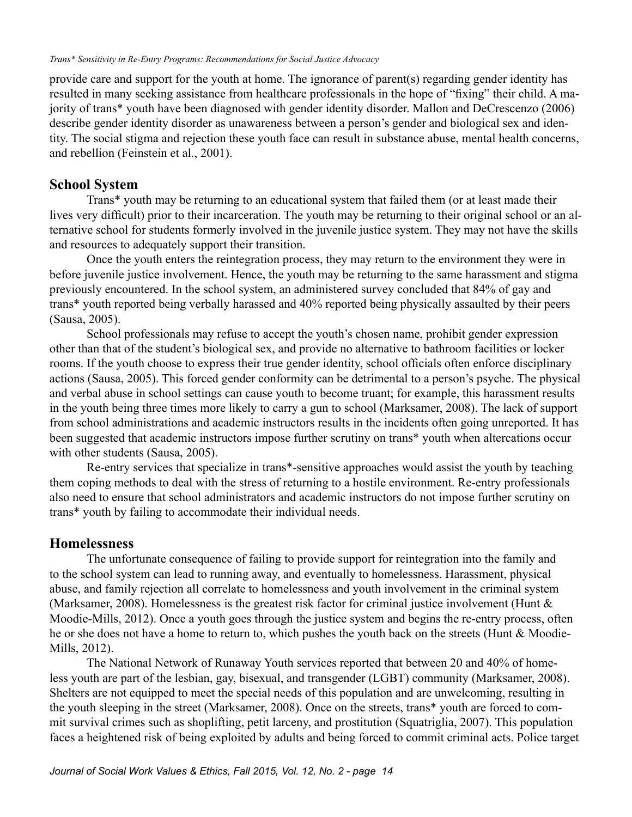provide care and support for the youth at home. The ignorance of parent(s) regarding gender identity has resulted in many seeking assistance from healthcare professionals in the hope of "fixing" their child. A majority of trans\* youth have been diagnosed with gender identity disorder. Mallon and DeCrescenzo (2006) describe gender identity disorder as unawareness between a person's gender and biological sex and identity. The social stigma and rejection these youth face can result in substance abuse, mental health concerns, and rebellion (Feinstein et al., 2001).

### **School System**

Trans\* youth may be returning to an educational system that failed them (or at least made their lives very difficult) prior to their incarceration. The youth may be returning to their original school or an alternative school for students formerly involved in the juvenile justice system. They may not have the skills and resources to adequately support their transition.

Once the youth enters the reintegration process, they may return to the environment they were in before juvenile justice involvement. Hence, the youth may be returning to the same harassment and stigma previously encountered. In the school system, an administered survey concluded that 84% of gay and trans\* youth reported being verbally harassed and 40% reported being physically assaulted by their peers (Sausa, 2005).

School professionals may refuse to accept the youth's chosen name, prohibit gender expression other than that of the student's biological sex, and provide no alternative to bathroom facilities or locker rooms. If the youth choose to express their true gender identity, school officials often enforce disciplinary actions (Sausa, 2005). This forced gender conformity can be detrimental to a person's psyche. The physical and verbal abuse in school settings can cause youth to become truant; for example, this harassment results in the youth being three times more likely to carry a gun to school (Marksamer, 2008). The lack of support from school administrations and academic instructors results in the incidents often going unreported. It has been suggested that academic instructors impose further scrutiny on trans\* youth when altercations occur with other students (Sausa, 2005).

Re-entry services that specialize in trans\*-sensitive approaches would assist the youth by teaching them coping methods to deal with the stress of returning to a hostile environment. Re-entry professionals also need to ensure that school administrators and academic instructors do not impose further scrutiny on trans\* youth by failing to accommodate their individual needs.

### **Homelessness**

The unfortunate consequence of failing to provide support for reintegration into the family and to the school system can lead to running away, and eventually to homelessness. Harassment, physical abuse, and family rejection all correlate to homelessness and youth involvement in the criminal system (Marksamer, 2008). Homelessness is the greatest risk factor for criminal justice involvement (Hunt & Moodie-Mills, 2012). Once a youth goes through the justice system and begins the re-entry process, often he or she does not have a home to return to, which pushes the youth back on the streets (Hunt & Moodie-Mills, 2012).

The National Network of Runaway Youth services reported that between 20 and 40% of homeless youth are part of the lesbian, gay, bisexual, and transgender (LGBT) community (Marksamer, 2008). Shelters are not equipped to meet the special needs of this population and are unwelcoming, resulting in the youth sleeping in the street (Marksamer, 2008). Once on the streets, trans\* youth are forced to commit survival crimes such as shoplifting, petit larceny, and prostitution (Squatriglia, 2007). This population faces a heightened risk of being exploited by adults and being forced to commit criminal acts. Police target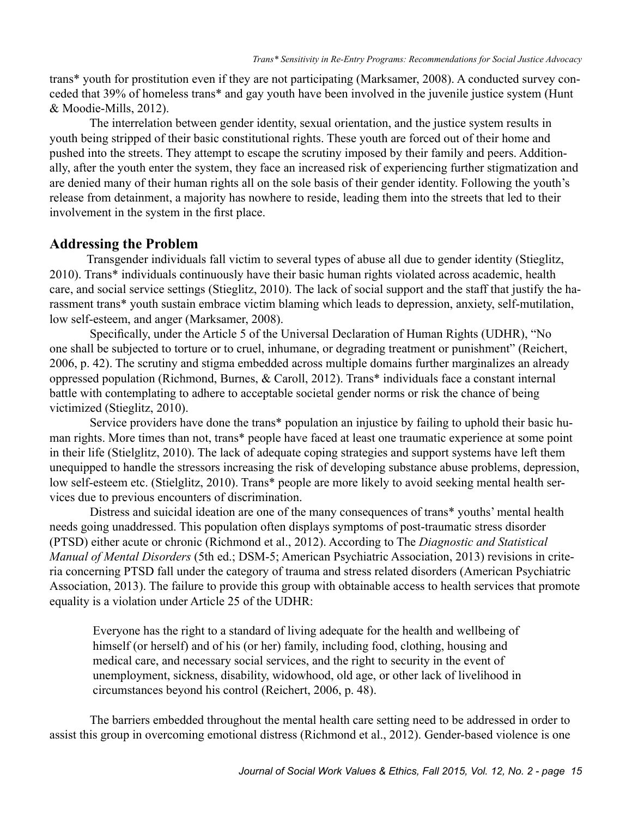trans\* youth for prostitution even if they are not participating (Marksamer, 2008). A conducted survey conceded that 39% of homeless trans\* and gay youth have been involved in the juvenile justice system (Hunt & Moodie-Mills, 2012).

 The interrelation between gender identity, sexual orientation, and the justice system results in youth being stripped of their basic constitutional rights. These youth are forced out of their home and pushed into the streets. They attempt to escape the scrutiny imposed by their family and peers. Additionally, after the youth enter the system, they face an increased risk of experiencing further stigmatization and are denied many of their human rights all on the sole basis of their gender identity. Following the youth's release from detainment, a majority has nowhere to reside, leading them into the streets that led to their involvement in the system in the first place.

## **Addressing the Problem**

Transgender individuals fall victim to several types of abuse all due to gender identity (Stieglitz, 2010). Trans\* individuals continuously have their basic human rights violated across academic, health care, and social service settings (Stieglitz, 2010). The lack of social support and the staff that justify the harassment trans\* youth sustain embrace victim blaming which leads to depression, anxiety, self-mutilation, low self-esteem, and anger (Marksamer, 2008).

 Specifically, under the Article 5 of the Universal Declaration of Human Rights (UDHR), "No one shall be subjected to torture or to cruel, inhumane, or degrading treatment or punishment" (Reichert, 2006, p. 42). The scrutiny and stigma embedded across multiple domains further marginalizes an already oppressed population (Richmond, Burnes, & Caroll, 2012). Trans\* individuals face a constant internal battle with contemplating to adhere to acceptable societal gender norms or risk the chance of being victimized (Stieglitz, 2010).

Service providers have done the trans\* population an injustice by failing to uphold their basic human rights. More times than not, trans\* people have faced at least one traumatic experience at some point in their life (Stielglitz, 2010). The lack of adequate coping strategies and support systems have left them unequipped to handle the stressors increasing the risk of developing substance abuse problems, depression, low self-esteem etc. (Stielglitz, 2010). Trans\* people are more likely to avoid seeking mental health services due to previous encounters of discrimination.

 Distress and suicidal ideation are one of the many consequences of trans\* youths' mental health needs going unaddressed. This population often displays symptoms of post-traumatic stress disorder (PTSD) either acute or chronic (Richmond et al., 2012). According to The *Diagnostic and Statistical Manual of Mental Disorders* (5th ed.; DSM-5; American Psychiatric Association, 2013) revisions in criteria concerning PTSD fall under the category of trauma and stress related disorders (American Psychiatric Association, 2013). The failure to provide this group with obtainable access to health services that promote equality is a violation under Article 25 of the UDHR:

Everyone has the right to a standard of living adequate for the health and wellbeing of himself (or herself) and of his (or her) family, including food, clothing, housing and medical care, and necessary social services, and the right to security in the event of unemployment, sickness, disability, widowhood, old age, or other lack of livelihood in circumstances beyond his control (Reichert, 2006, p. 48).

The barriers embedded throughout the mental health care setting need to be addressed in order to assist this group in overcoming emotional distress (Richmond et al., 2012). Gender-based violence is one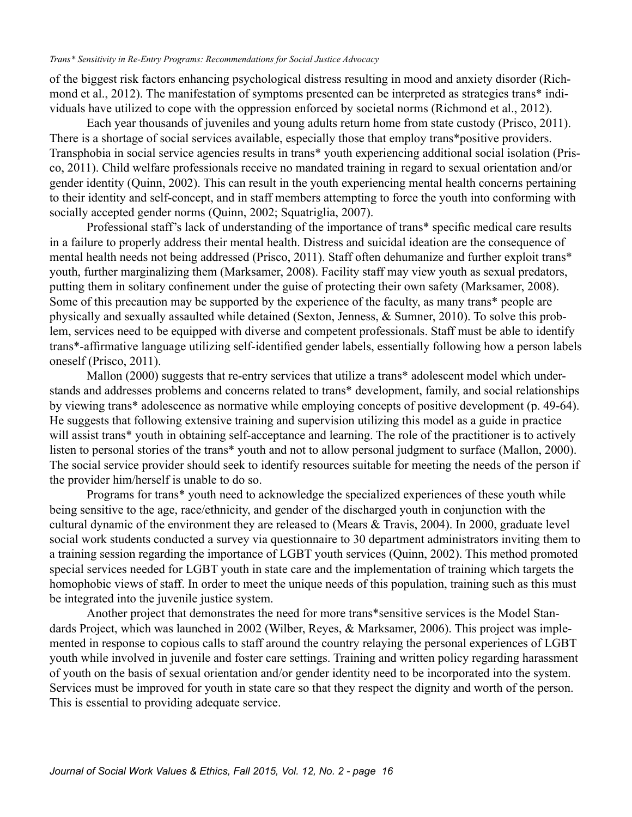#### *Trans\* Sensitivity in Re-Entry Programs: Recommendations for Social Justice Advocacy*

of the biggest risk factors enhancing psychological distress resulting in mood and anxiety disorder (Richmond et al., 2012). The manifestation of symptoms presented can be interpreted as strategies trans\* individuals have utilized to cope with the oppression enforced by societal norms (Richmond et al., 2012).

Each year thousands of juveniles and young adults return home from state custody (Prisco, 2011). There is a shortage of social services available, especially those that employ trans\*positive providers. Transphobia in social service agencies results in trans\* youth experiencing additional social isolation (Prisco, 2011). Child welfare professionals receive no mandated training in regard to sexual orientation and/or gender identity (Quinn, 2002). This can result in the youth experiencing mental health concerns pertaining to their identity and self-concept, and in staff members attempting to force the youth into conforming with socially accepted gender norms (Quinn, 2002; Squatriglia, 2007).

Professional staff's lack of understanding of the importance of trans\* specific medical care results in a failure to properly address their mental health. Distress and suicidal ideation are the consequence of mental health needs not being addressed (Prisco, 2011). Staff often dehumanize and further exploit trans\* youth, further marginalizing them (Marksamer, 2008). Facility staff may view youth as sexual predators, putting them in solitary confinement under the guise of protecting their own safety (Marksamer, 2008). Some of this precaution may be supported by the experience of the faculty, as many trans\* people are physically and sexually assaulted while detained (Sexton, Jenness, & Sumner, 2010). To solve this problem, services need to be equipped with diverse and competent professionals. Staff must be able to identify trans\*-affirmative language utilizing self-identified gender labels, essentially following how a person labels oneself (Prisco, 2011).

Mallon (2000) suggests that re-entry services that utilize a trans<sup>\*</sup> adolescent model which understands and addresses problems and concerns related to trans\* development, family, and social relationships by viewing trans\* adolescence as normative while employing concepts of positive development (p. 49-64). He suggests that following extensive training and supervision utilizing this model as a guide in practice will assist trans<sup>\*</sup> youth in obtaining self-acceptance and learning. The role of the practitioner is to actively listen to personal stories of the trans\* youth and not to allow personal judgment to surface (Mallon, 2000). The social service provider should seek to identify resources suitable for meeting the needs of the person if the provider him/herself is unable to do so.

Programs for trans\* youth need to acknowledge the specialized experiences of these youth while being sensitive to the age, race/ethnicity, and gender of the discharged youth in conjunction with the cultural dynamic of the environment they are released to (Mears & Travis, 2004). In 2000, graduate level social work students conducted a survey via questionnaire to 30 department administrators inviting them to a training session regarding the importance of LGBT youth services (Quinn, 2002). This method promoted special services needed for LGBT youth in state care and the implementation of training which targets the homophobic views of staff. In order to meet the unique needs of this population, training such as this must be integrated into the juvenile justice system.

Another project that demonstrates the need for more trans\*sensitive services is the Model Standards Project, which was launched in 2002 (Wilber, Reyes, & Marksamer, 2006). This project was implemented in response to copious calls to staff around the country relaying the personal experiences of LGBT youth while involved in juvenile and foster care settings. Training and written policy regarding harassment of youth on the basis of sexual orientation and/or gender identity need to be incorporated into the system. Services must be improved for youth in state care so that they respect the dignity and worth of the person. This is essential to providing adequate service.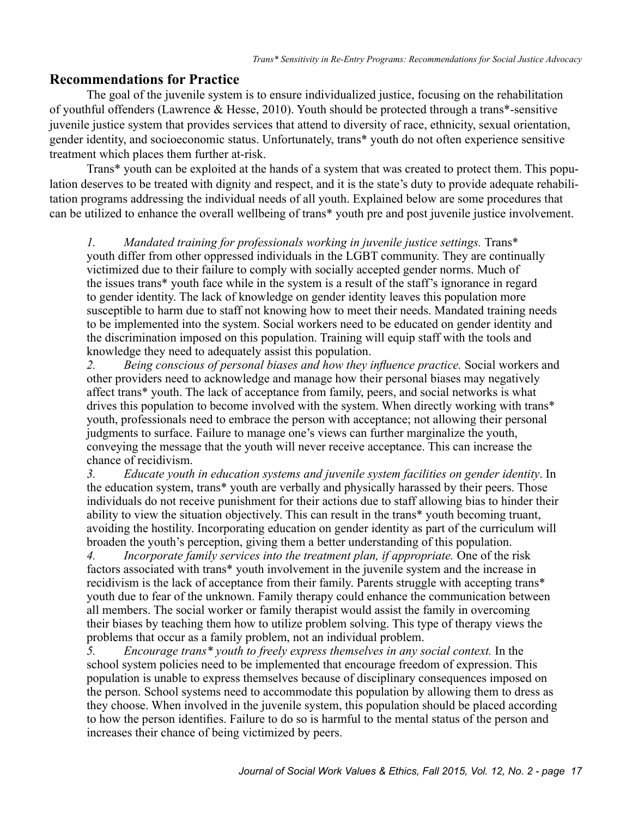## **Recommendations for Practice**

The goal of the juvenile system is to ensure individualized justice, focusing on the rehabilitation of youthful offenders (Lawrence & Hesse, 2010). Youth should be protected through a trans\*-sensitive juvenile justice system that provides services that attend to diversity of race, ethnicity, sexual orientation, gender identity, and socioeconomic status. Unfortunately, trans\* youth do not often experience sensitive treatment which places them further at-risk.

Trans\* youth can be exploited at the hands of a system that was created to protect them. This population deserves to be treated with dignity and respect, and it is the state's duty to provide adequate rehabilitation programs addressing the individual needs of all youth. Explained below are some procedures that can be utilized to enhance the overall wellbeing of trans\* youth pre and post juvenile justice involvement.

*1. Mandated training for professionals working in juvenile justice settings.* Trans\* youth differ from other oppressed individuals in the LGBT community. They are continually victimized due to their failure to comply with socially accepted gender norms. Much of the issues trans\* youth face while in the system is a result of the staff's ignorance in regard to gender identity. The lack of knowledge on gender identity leaves this population more susceptible to harm due to staff not knowing how to meet their needs. Mandated training needs to be implemented into the system. Social workers need to be educated on gender identity and the discrimination imposed on this population. Training will equip staff with the tools and knowledge they need to adequately assist this population.

*2. Being conscious of personal biases and how they influence practice.* Social workers and other providers need to acknowledge and manage how their personal biases may negatively affect trans\* youth. The lack of acceptance from family, peers, and social networks is what drives this population to become involved with the system. When directly working with trans\* youth, professionals need to embrace the person with acceptance; not allowing their personal judgments to surface. Failure to manage one's views can further marginalize the youth, conveying the message that the youth will never receive acceptance. This can increase the chance of recidivism.

*3. Educate youth in education systems and juvenile system facilities on gender identity*. In the education system, trans\* youth are verbally and physically harassed by their peers. Those individuals do not receive punishment for their actions due to staff allowing bias to hinder their ability to view the situation objectively. This can result in the trans\* youth becoming truant, avoiding the hostility. Incorporating education on gender identity as part of the curriculum will broaden the youth's perception, giving them a better understanding of this population.

*4. Incorporate family services into the treatment plan, if appropriate.* One of the risk factors associated with trans\* youth involvement in the juvenile system and the increase in recidivism is the lack of acceptance from their family. Parents struggle with accepting trans\* youth due to fear of the unknown. Family therapy could enhance the communication between all members. The social worker or family therapist would assist the family in overcoming their biases by teaching them how to utilize problem solving. This type of therapy views the problems that occur as a family problem, not an individual problem.

*5. Encourage trans\* youth to freely express themselves in any social context.* In the school system policies need to be implemented that encourage freedom of expression. This population is unable to express themselves because of disciplinary consequences imposed on the person. School systems need to accommodate this population by allowing them to dress as they choose. When involved in the juvenile system, this population should be placed according to how the person identifies. Failure to do so is harmful to the mental status of the person and increases their chance of being victimized by peers.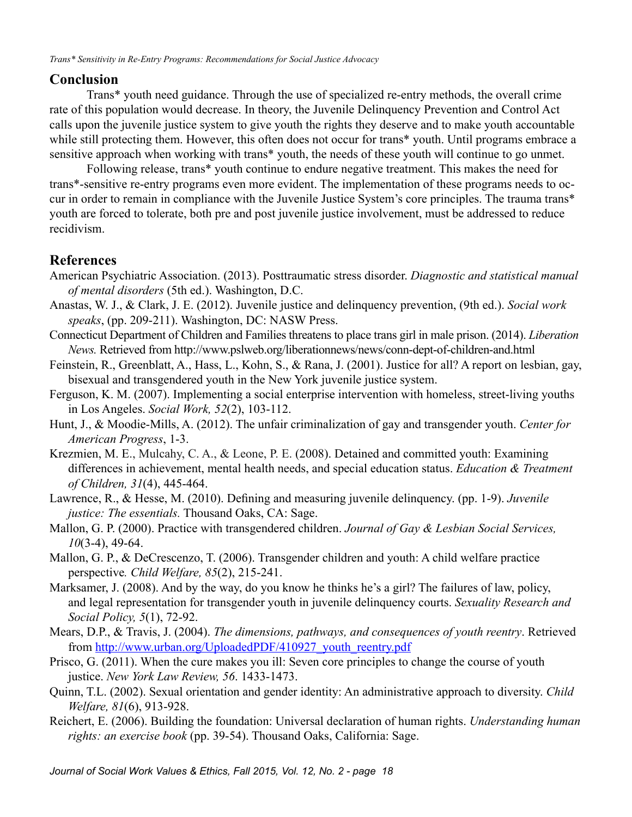## **Conclusion**

Trans\* youth need guidance. Through the use of specialized re-entry methods, the overall crime rate of this population would decrease. In theory, the Juvenile Delinquency Prevention and Control Act calls upon the juvenile justice system to give youth the rights they deserve and to make youth accountable while still protecting them. However, this often does not occur for trans\* youth. Until programs embrace a sensitive approach when working with trans\* youth, the needs of these youth will continue to go unmet.

Following release, trans\* youth continue to endure negative treatment. This makes the need for trans\*-sensitive re-entry programs even more evident. The implementation of these programs needs to occur in order to remain in compliance with the Juvenile Justice System's core principles. The trauma trans\* youth are forced to tolerate, both pre and post juvenile justice involvement, must be addressed to reduce recidivism.

# **References**

- American Psychiatric Association. (2013). Posttraumatic stress disorder. *Diagnostic and statistical manual of mental disorders* (5th ed.). Washington, D.C.
- Anastas, W. J., & Clark, J. E. (2012). Juvenile justice and delinquency prevention, (9th ed.). *Social work speaks*, (pp. 209-211). Washington, DC: NASW Press.
- Connecticut Department of Children and Families threatens to place trans girl in male prison. (2014). *Liberation News.* Retrieved from http://www.pslweb.org/liberationnews/news/conn-dept-of-children-and.html
- Feinstein, R., Greenblatt, A., Hass, L., Kohn, S., & Rana, J. (2001). Justice for all? A report on lesbian, gay, bisexual and transgendered youth in the New York juvenile justice system.
- Ferguson, K. M. (2007). Implementing a social enterprise intervention with homeless, street-living youths in Los Angeles. *Social Work, 52*(2), 103-112.
- Hunt, J., & Moodie-Mills, A. (2012). The unfair criminalization of gay and transgender youth. *Center for American Progress*, 1-3.
- Krezmien, M. E., Mulcahy, C. A., & Leone, P. E. (2008). Detained and committed youth: Examining differences in achievement, mental health needs, and special education status. *Education & Treatment of Children, 31*(4), 445-464.
- Lawrence, R., & Hesse, M. (2010). Defining and measuring juvenile delinquency. (pp. 1-9). *Juvenile justice: The essentials.* Thousand Oaks, CA: Sage.
- Mallon, G. P. (2000). Practice with transgendered children. *Journal of Gay & Lesbian Social Services, 10*(3-4), 49-64.
- Mallon, G. P., & DeCrescenzo, T. (2006). Transgender children and youth: A child welfare practice perspective*. Child Welfare, 85*(2), 215-241.
- Marksamer, J. (2008). And by the way, do you know he thinks he's a girl? The failures of law, policy, and legal representation for transgender youth in juvenile delinquency courts. *Sexuality Research and Social Policy, 5*(1), 72-92.
- Mears, D.P., & Travis, J. (2004). *The dimensions, pathways, and consequences of youth reentry*. Retrieved from [http://www.urban.org/UploadedPDF/410927\\_youth\\_reentry.pdf](http://www.urban.org/UploadedPDF/410927_youth_reentry.pdf)
- Prisco, G. (2011). When the cure makes you ill: Seven core principles to change the course of youth justice. *New York Law Review, 56*. 1433-1473.
- Quinn, T.L. (2002). Sexual orientation and gender identity: An administrative approach to diversity. *Child Welfare, 81*(6), 913-928.
- Reichert, E. (2006). Building the foundation: Universal declaration of human rights. *Understanding human rights: an exercise book* (pp. 39-54). Thousand Oaks, California: Sage.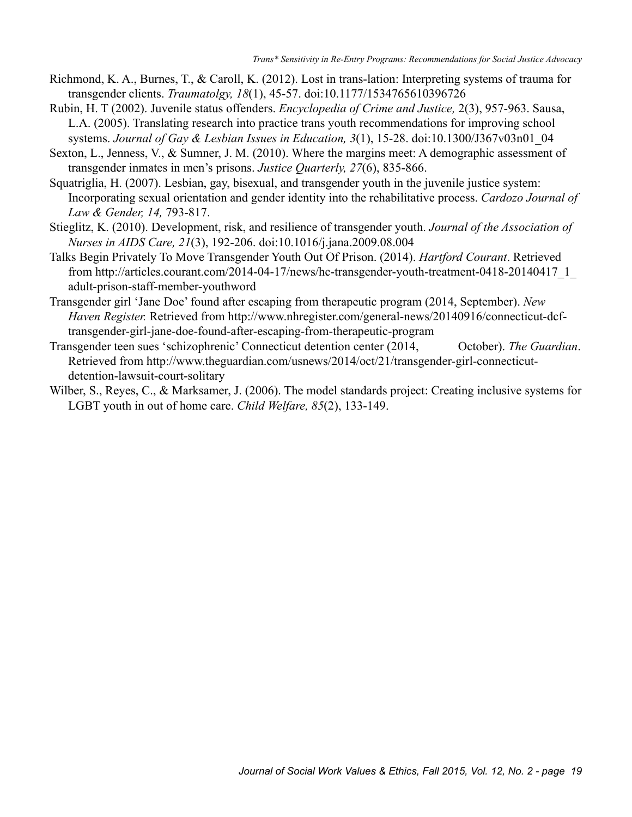- Richmond, K. A., Burnes, T., & Caroll, K. (2012). Lost in trans-lation: Interpreting systems of trauma for transgender clients. *Traumatolgy, 18*(1), 45-57. doi:10.1177/1534765610396726
- Rubin, H. T (2002). Juvenile status offenders. *Encyclopedia of Crime and Justice,* 2(3), 957-963. Sausa, L.A. (2005). Translating research into practice trans youth recommendations for improving school systems. *Journal of Gay & Lesbian Issues in Education, 3*(1), 15-28. doi:10.1300/J367v03n01\_04
- Sexton, L., Jenness, V., & Sumner, J. M. (2010). Where the margins meet: A demographic assessment of transgender inmates in men's prisons. *Justice Quarterly, 27*(6), 835-866.
- Squatriglia, H. (2007). Lesbian, gay, bisexual, and transgender youth in the juvenile justice system: Incorporating sexual orientation and gender identity into the rehabilitative process. *Cardozo Journal of Law & Gender, 14,* 793-817.
- Stieglitz, K. (2010). Development, risk, and resilience of transgender youth. *Journal of the Association of Nurses in AIDS Care, 21*(3), 192-206. doi:10.1016/j.jana.2009.08.004
- Talks Begin Privately To Move Transgender Youth Out Of Prison. (2014). *Hartford Courant*. Retrieved from http://articles.courant.com/2014-04-17/news/hc-transgender-youth-treatment-0418-20140417\_1\_ adult-prison-staff-member-youthword
- Transgender girl 'Jane Doe' found after escaping from therapeutic program (2014, September). *New Haven Register.* Retrieved from http://www.nhregister.com/general-news/20140916/connecticut-dcftransgender-girl-jane-doe-found-after-escaping-from-therapeutic-program
- Transgender teen sues 'schizophrenic' Connecticut detention center (2014, October). *The Guardian*. Retrieved from http://www.theguardian.com/usnews/2014/oct/21/transgender-girl-connecticutdetention-lawsuit-court-solitary
- Wilber, S., Reyes, C., & Marksamer, J. (2006). The model standards project: Creating inclusive systems for LGBT youth in out of home care. *Child Welfare, 85*(2), 133-149.